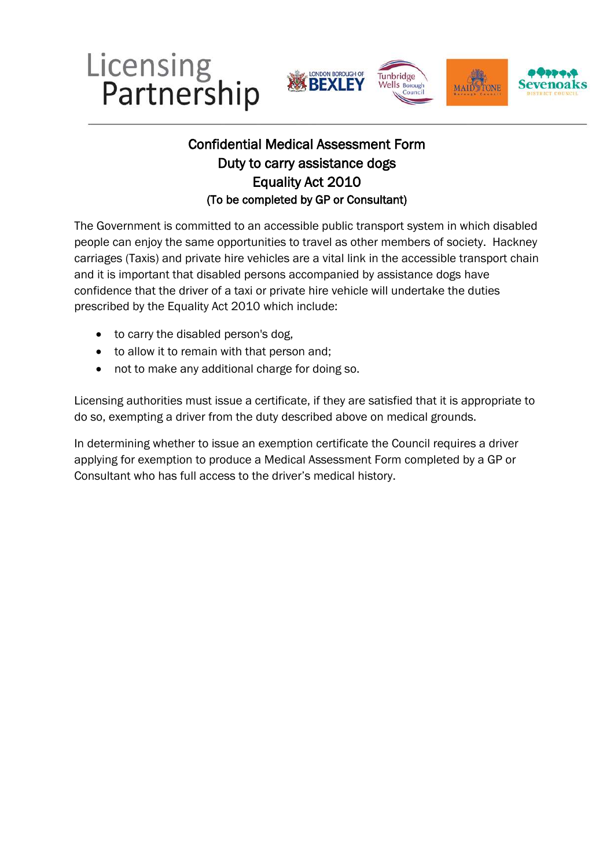





## Equality Act 2010 Confidential Medical Assessment Form Duty to carry assistance dogs (To be completed by GP or Consultant)

 people can enjoy the same opportunities to travel as other members of society. Hackney The Government is committed to an accessible public transport system in which disabled carriages (Taxis) and private hire vehicles are a vital link in the accessible transport chain and it is important that disabled persons accompanied by assistance dogs have confidence that the driver of a taxi or private hire vehicle will undertake the duties prescribed by the Equality Act 2010 which include:

- to carry the disabled person's dog,
- to allow it to remain with that person and;
- not to make any additional charge for doing so.

 Licensing authorities must issue a certificate, if they are satisfied that it is appropriate to do so, exempting a driver from the duty described above on medical grounds.

In determining whether to issue an exemption certificate the Council requires a driver applying for exemption to produce a Medical Assessment Form completed by a GP or Consultant who has full access to the driver's medical history.